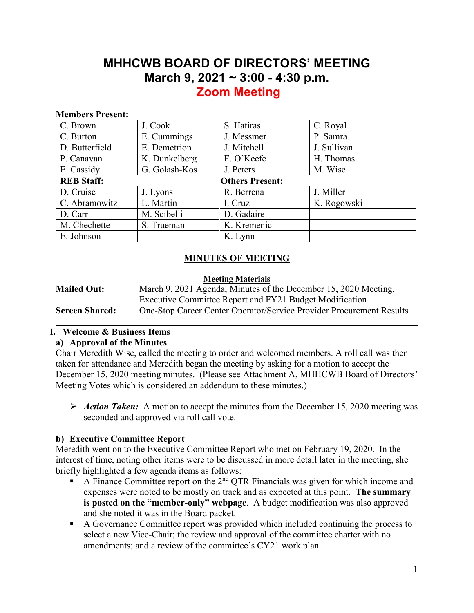# **MHHCWB BOARD OF DIRECTORS' MEETING March 9, 2021 ~ 3:00 - 4:30 p.m.**

# **Zoom Meeting**

#### **Members Present:**

| C. Brown                                    | J. Cook       | S. Hatiras  | C. Royal    |  |
|---------------------------------------------|---------------|-------------|-------------|--|
| C. Burton                                   | E. Cummings   | J. Messmer  | P. Samra    |  |
| D. Butterfield                              | E. Demetrion  | J. Mitchell | J. Sullivan |  |
| P. Canavan                                  | K. Dunkelberg | E. O'Keefe  | H. Thomas   |  |
| E. Cassidy                                  | G. Golash-Kos | J. Peters   | M. Wise     |  |
| <b>REB Staff:</b><br><b>Others Present:</b> |               |             |             |  |
| D. Cruise                                   | J. Lyons      | R. Berrena  | J. Miller   |  |
| C. Abramowitz                               | L. Martin     | I. Cruz     | K. Rogowski |  |
| D. Carr                                     | M. Scibelli   | D. Gadaire  |             |  |
| M. Chechette                                | S. Trueman    | K. Kremenic |             |  |
| E. Johnson                                  |               | K. Lynn     |             |  |

## **MINUTES OF MEETING**

#### **Meeting Materials**

| <b>Mailed Out:</b>    | March 9, 2021 Agenda, Minutes of the December 15, 2020 Meeting,             |  |  |  |
|-----------------------|-----------------------------------------------------------------------------|--|--|--|
|                       | Executive Committee Report and FY21 Budget Modification                     |  |  |  |
| <b>Screen Shared:</b> | <b>One-Stop Career Center Operator/Service Provider Procurement Results</b> |  |  |  |
|                       |                                                                             |  |  |  |

# **I. Welcome & Business Items**

#### **a) Approval of the Minutes**

Chair Meredith Wise, called the meeting to order and welcomed members. A roll call was then taken for attendance and Meredith began the meeting by asking for a motion to accept the December 15, 2020 meeting minutes. (Please see Attachment A, MHHCWB Board of Directors' Meeting Votes which is considered an addendum to these minutes.)

 *Action Taken:*A motion to accept the minutes from the December 15, 2020 meeting was seconded and approved via roll call vote.

#### **b) Executive Committee Report**

Meredith went on to the Executive Committee Report who met on February 19, 2020. In the interest of time, noting other items were to be discussed in more detail later in the meeting, she briefly highlighted a few agenda items as follows:

- A Finance Committee report on the 2<sup>nd</sup> QTR Financials was given for which income and expenses were noted to be mostly on track and as expected at this point. **The summary is posted on the "member-only" webpage**. A budget modification was also approved and she noted it was in the Board packet.
- A Governance Committee report was provided which included continuing the process to select a new Vice-Chair; the review and approval of the committee charter with no amendments; and a review of the committee's CY21 work plan.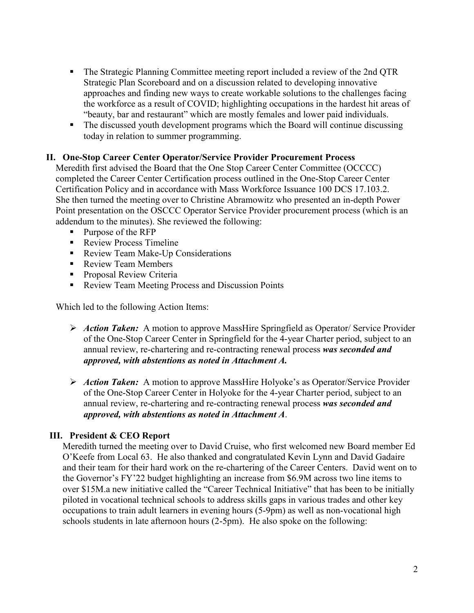- The Strategic Planning Committee meeting report included a review of the 2nd QTR Strategic Plan Scoreboard and on a discussion related to developing innovative approaches and finding new ways to create workable solutions to the challenges facing the workforce as a result of COVID; highlighting occupations in the hardest hit areas of "beauty, bar and restaurant" which are mostly females and lower paid individuals.
- The discussed youth development programs which the Board will continue discussing today in relation to summer programming.

#### **II. One-Stop Career Center Operator/Service Provider Procurement Process**

Meredith first advised the Board that the One Stop Career Center Committee (OCCCC) completed the Career Center Certification process outlined in the One-Stop Career Center Certification Policy and in accordance with Mass Workforce Issuance 100 DCS 17.103.2. She then turned the meeting over to Christine Abramowitz who presented an in-depth Power Point presentation on the OSCCC Operator Service Provider procurement process (which is an addendum to the minutes). She reviewed the following:

- Purpose of the RFP
- Review Process Timeline
- Review Team Make-Up Considerations
- Review Team Members
- **Proposal Review Criteria**
- Review Team Meeting Process and Discussion Points

Which led to the following Action Items:

- *Action Taken:*A motion to approve MassHire Springfield as Operator/ Service Provider of the One-Stop Career Center in Springfield for the 4-year Charter period, subject to an annual review, re-chartering and re-contracting renewal process *was seconded and approved, with abstentions as noted in Attachment A.*
- *Action Taken:*A motion to approve MassHire Holyoke's as Operator/Service Provider of the One-Stop Career Center in Holyoke for the 4-year Charter period, subject to an annual review, re-chartering and re-contracting renewal process *was seconded and approved, with abstentions as noted in Attachment A*.

#### **III. President & CEO Report**

Meredith turned the meeting over to David Cruise, who first welcomed new Board member Ed O'Keefe from Local 63. He also thanked and congratulated Kevin Lynn and David Gadaire and their team for their hard work on the re-chartering of the Career Centers. David went on to the Governor's FY'22 budget highlighting an increase from \$6.9M across two line items to over \$15M.a new initiative called the "Career Technical Initiative" that has been to be initially piloted in vocational technical schools to address skills gaps in various trades and other key occupations to train adult learners in evening hours (5-9pm) as well as non-vocational high schools students in late afternoon hours (2-5pm). He also spoke on the following: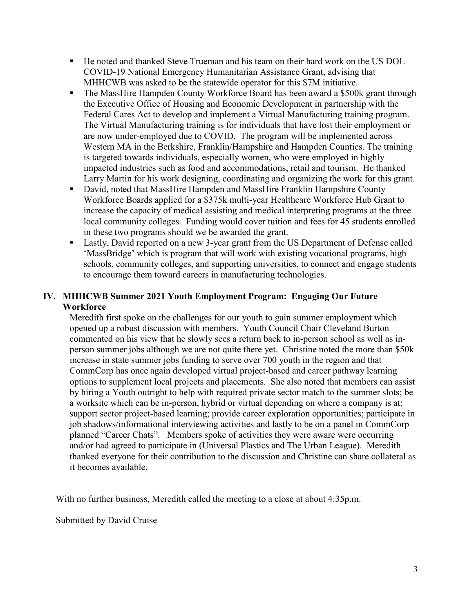- He noted and thanked Steve Trueman and his team on their hard work on the US DOL COVID-19 National Emergency Humanitarian Assistance Grant, advising that MHHCWB was asked to be the statewide operator for this \$7M initiative.
- The MassHire Hampden County Workforce Board has been award a \$500k grant through the Executive Office of Housing and Economic Development in partnership with the Federal Cares Act to develop and implement a Virtual Manufacturing training program. The Virtual Manufacturing training is for individuals that have lost their employment or are now under-employed due to COVID. The program will be implemented across Western MA in the Berkshire, Franklin/Hampshire and Hampden Counties. The training is targeted towards individuals, especially women, who were employed in highly impacted industries such as food and accommodations, retail and tourism. He thanked Larry Martin for his work designing, coordinating and organizing the work for this grant.
- David, noted that MassHire Hampden and MassHire Franklin Hampshire County Workforce Boards applied for a \$375k multi-year Healthcare Workforce Hub Grant to increase the capacity of medical assisting and medical interpreting programs at the three local community colleges. Funding would cover tuition and fees for 45 students enrolled in these two programs should we be awarded the grant.
- **Lastly, David reported on a new 3-year grant from the US Department of Defense called** 'MassBridge' which is program that will work with existing vocational programs, high schools, community colleges, and supporting universities, to connect and engage students to encourage them toward careers in manufacturing technologies.

### **IV. MHHCWB Summer 2021 Youth Employment Program: Engaging Our Future Workforce**

Meredith first spoke on the challenges for our youth to gain summer employment which opened up a robust discussion with members. Youth Council Chair Cleveland Burton commented on his view that he slowly sees a return back to in-person school as well as inperson summer jobs although we are not quite there yet. Christine noted the more than \$50k increase in state summer jobs funding to serve over 700 youth in the region and that CommCorp has once again developed virtual project-based and career pathway learning options to supplement local projects and placements. She also noted that members can assist by hiring a Youth outright to help with required private sector match to the summer slots; be a worksite which can be in-person, hybrid or virtual depending on where a company is at; support sector project-based learning; provide career exploration opportunities; participate in job shadows/informational interviewing activities and lastly to be on a panel in CommCorp planned "Career Chats". Members spoke of activities they were aware were occurring and/or had agreed to participate in (Universal Plastics and The Urban League). Meredith thanked everyone for their contribution to the discussion and Christine can share collateral as it becomes available.

With no further business, Meredith called the meeting to a close at about 4:35p.m.

Submitted by David Cruise